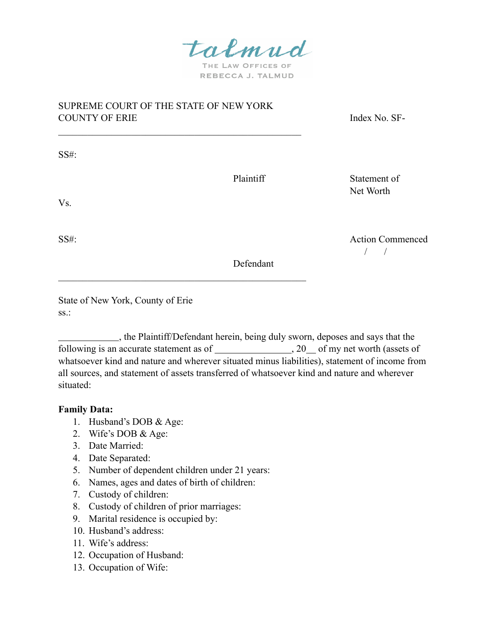talmud

THE LAW OFFICES OF REBECCA J. TALMUD

# SUPREME COURT OF THE STATE OF NEW YORK COUNTY OF ERIE Index No. SF-

 $\mathcal{L}_\text{max}$  and the contract of the contract of the contract of the contract of the contract of the contract of the contract of the contract of the contract of the contract of the contract of the contract of the contrac

 $\mathcal{L}_\text{max}$  and the contract of the contract of the contract of the contract of the contract of the contract of the contract of the contract of the contract of the contract of the contract of the contract of the contrac

SS#:

Plaintiff Statement of Net Worth

Vs.

SS#: Action Commenced / /

Defendant

State of New York, County of Erie ss.:

 , the Plaintiff/Defendant herein, being duly sworn, deposes and says that the following is an accurate statement as of  $\_\_\_\_$ , 20 of my net worth (assets of whatsoever kind and nature and wherever situated minus liabilities), statement of income from all sources, and statement of assets transferred of whatsoever kind and nature and wherever situated:

## **Family Data:**

- 1. Husband's DOB & Age:
- 2. Wife's DOB & Age:
- 3. Date Married:
- 4. Date Separated:
- 5. Number of dependent children under 21 years:
- 6. Names, ages and dates of birth of children:
- 7. Custody of children:
- 8. Custody of children of prior marriages:
- 9. Marital residence is occupied by:
- 10. Husband's address:
- 11. Wife's address:
- 12. Occupation of Husband:
- 13. Occupation of Wife: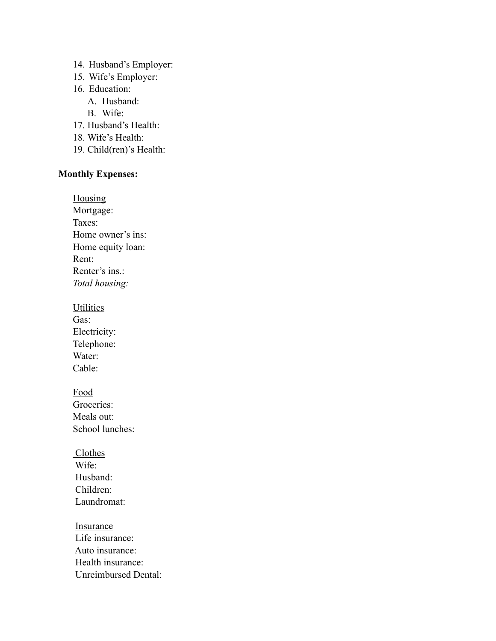- 14. Husband's Employer:
- 15. Wife's Employer:
- 16. Education:
	- A. Husband:
	- B. Wife:
- 17. Husband's Health:
- 18. Wife's Health:
- 19. Child(ren)'s Health:

# **Monthly Expenses:**

**Housing** 

Mortgage: Taxes: Home owner's ins: Home equity loan: Rent: Renter's ins.: *Total housing:*

**Utilities** 

Gas: Electricity: Telephone: Water: Cable:

Food Groceries: Meals out: School lunches:

**Clothes**  Wife: Husband: Children: Laundromat:

Insurance Life insurance: Auto insurance: Health insurance: Unreimbursed Dental: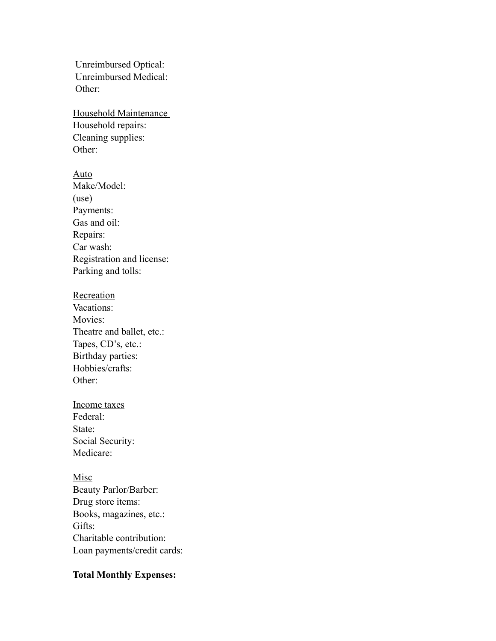Unreimbursed Optical: Unreimbursed Medical: Other:

Household Maintenance Household repairs: Cleaning supplies: Other:

Auto Make/Model: (use) Payments: Gas and oil: Repairs: Car wash: Registration and license: Parking and tolls:

- Recreation Vacations: Movies: Theatre and ballet, etc.: Tapes, CD's, etc.: Birthday parties: Hobbies/crafts: Other:
- Income taxes Federal: State: Social Security: Medicare:

Misc Beauty Parlor/Barber: Drug store items: Books, magazines, etc.: Gifts: Charitable contribution: Loan payments/credit cards:

# **Total Monthly Expenses:**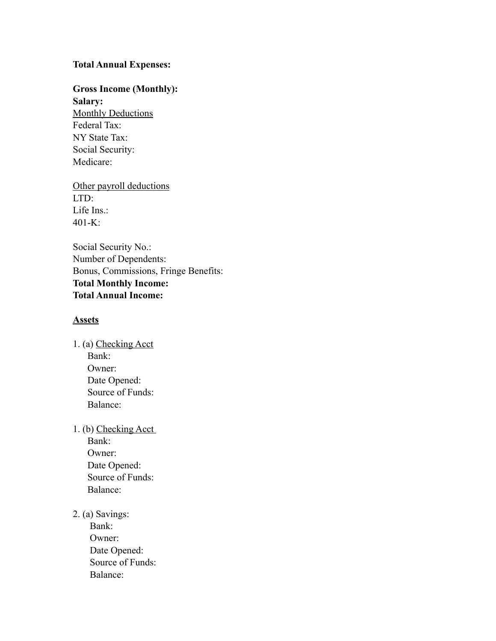### **Total Annual Expenses:**

# **Gross Income (Monthly):**

**Salary: Monthly Deductions** Federal Tax: NY State Tax: Social Security: Medicare:

Other payroll deductions LTD: Life Ins.: 401-K:

Social Security No.: Number of Dependents: Bonus, Commissions, Fringe Benefits: **Total Monthly Income: Total Annual Income:** 

### **Assets**

1. (a) Checking Acct Bank: Owner: Date Opened: Source of Funds: Balance:

1. (b) Checking Acct Bank: Owner: Date Opened: Source of Funds: Balance:

2. (a) Savings:

 Bank: Owner: Date Opened: Source of Funds: Balance: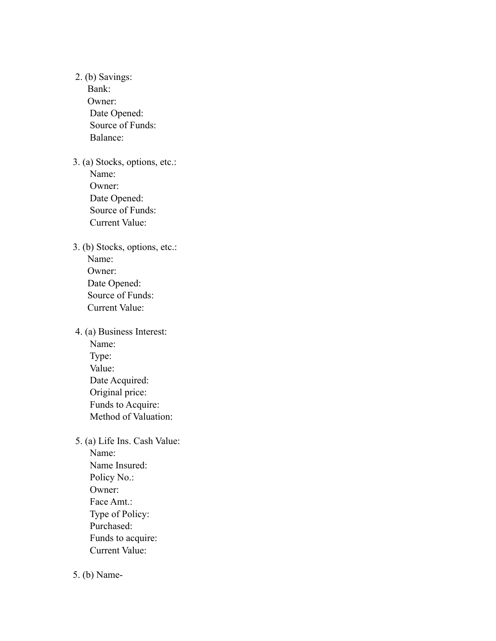2. (b) Savings: Bank: Owner: Date Opened: Source of Funds: Balance: 3. (a) Stocks, options, etc.: Name: Owner: Date Opened: Source of Funds: Current Value: 3. (b) Stocks, options, etc.: Name: Owner: Date Opened: Source of Funds: Current Value: 4. (a) Business Interest: Name: Type: Value: Date Acquired: Original price: Funds to Acquire: Method of Valuation: 5. (a) Life Ins. Cash Value: Name: Name Insured: Policy No.: Owner: Face Amt.: Type of Policy: Purchased: Funds to acquire: Current Value:

5. (b) Name-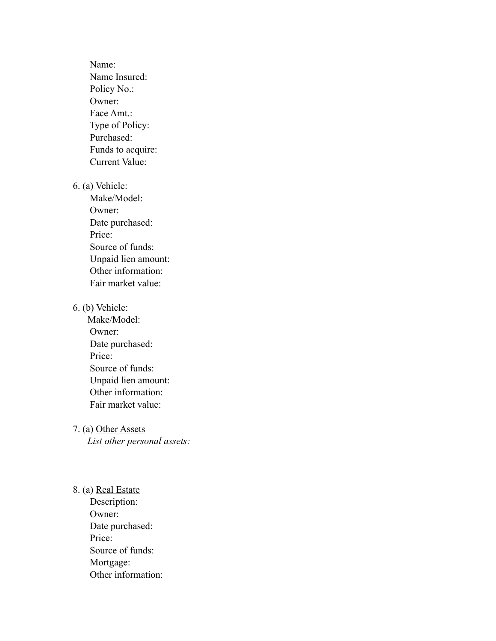Name: Name Insured: Policy No.: Owner: Face Amt.: Type of Policy: Purchased: Funds to acquire: Current Value:

6. (a) Vehicle:

 Make/Model: Owner: Date purchased: Price: Source of funds: Unpaid lien amount: Other information: Fair market value:

### 6. (b) Vehicle:

Make/Model: Owner: Date purchased: Price: Source of funds: Unpaid lien amount: Other information: Fair market value:

7. (a) Other Assets

*List other personal assets:* 

8. (a) Real Estate Description: Owner: Date purchased: Price: Source of funds: Mortgage: Other information: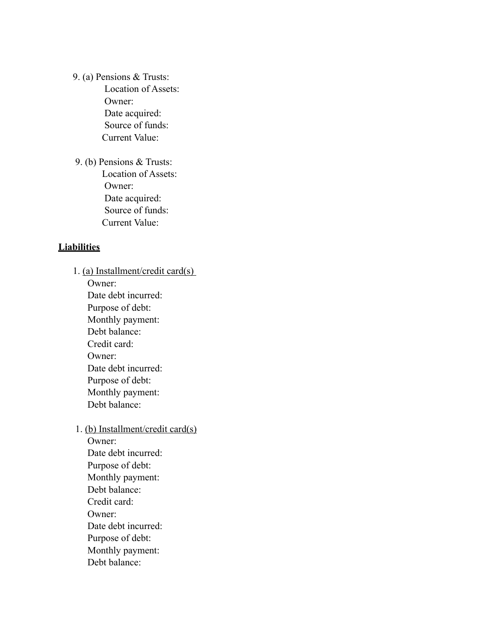9. (a) Pensions & Trusts: Location of Assets: Owner: Date acquired: Source of funds: Current Value:

 9. (b) Pensions & Trusts: Location of Assets: Owner: Date acquired: Source of funds: Current Value:

### **Liabilities**

1. (a) Installment/credit card(s) Owner: Date debt incurred: Purpose of debt: Monthly payment: Debt balance: Credit card: Owner: Date debt incurred: Purpose of debt: Monthly payment: Debt balance:

1. (b) Installment/credit card(s)

Owner: Date debt incurred: Purpose of debt: Monthly payment: Debt balance: Credit card: Owner: Date debt incurred: Purpose of debt: Monthly payment: Debt balance: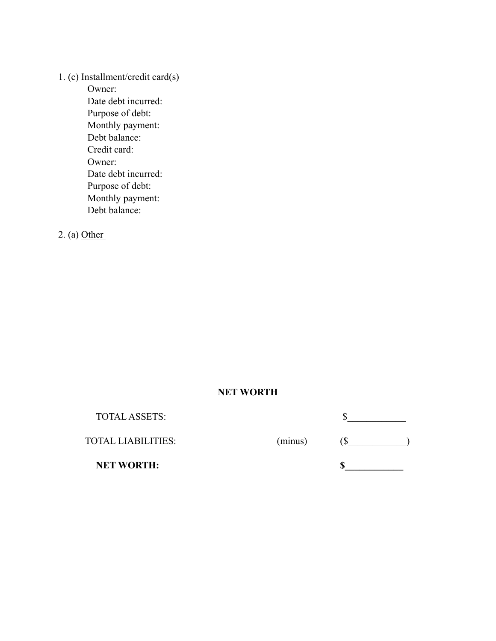# 1. (c) Installment/credit card(s)

Owner: Date debt incurred: Purpose of debt: Monthly payment: Debt balance: Credit card: Owner: Date debt incurred: Purpose of debt: Monthly payment: Debt balance:

2. (a) Other

# **NET WORTH**

TOTAL ASSETS:  $\frac{1}{2}$ 

TOTAL LIABILITIES: (minus) (\$\_\_\_\_\_\_\_\_\_\_\_\_)

**NET WORTH:** \$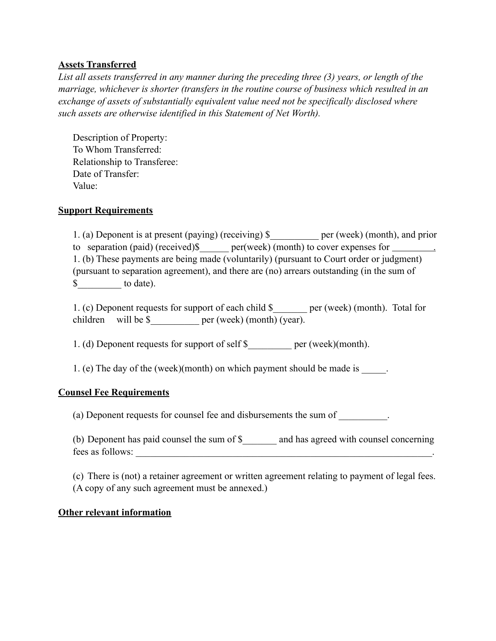## **Assets Transferred**

*List all assets transferred in any manner during the preceding three (3) years, or length of the marriage, whichever is shorter (transfers in the routine course of business which resulted in an exchange of assets of substantially equivalent value need not be specifically disclosed where such assets are otherwise identified in this Statement of Net Worth).* 

Description of Property: To Whom Transferred: Relationship to Transferee: Date of Transfer: Value:

### **Support Requirements**

1. (a) Deponent is at present (paying) (receiving) \$\_\_\_\_\_\_\_\_\_\_ per (week) (month), and prior to separation (paid) (received)\$ per(week) (month) to cover expenses for 1. (b) These payments are being made (voluntarily) (pursuant to Court order or judgment) (pursuant to separation agreement), and there are (no) arrears outstanding (in the sum of  $\frac{\text{S}}{\text{S}}$  to date).

1. (c) Deponent requests for support of each child \$\_\_\_\_\_\_\_ per (week) (month). Total for children will be \$ \_\_\_\_\_\_\_\_ per (week) (month) (year).

1. (d) Deponent requests for support of self \$ per (week)(month).

1. (e) The day of the (week)(month) on which payment should be made is \_\_\_\_\_\_.

## **Counsel Fee Requirements**

(a) Deponent requests for counsel fee and disbursements the sum of \_\_\_\_\_\_\_\_\_\_.

(b) Deponent has paid counsel the sum of \$\_\_\_\_\_\_\_ and has agreed with counsel concerning fees as follows:

(c) There is (not) a retainer agreement or written agreement relating to payment of legal fees. (A copy of any such agreement must be annexed.)

### **Other relevant information**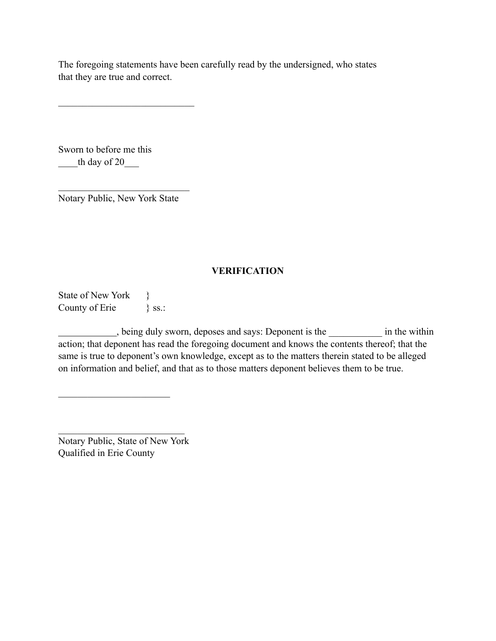The foregoing statements have been carefully read by the undersigned, who states that they are true and correct.

Sworn to before me this th day of 20

 $\mathcal{L}_\text{max}$ Notary Public, New York State

 $\mathcal{L}_\text{max}$ 

# **VERIFICATION**

State of New York  $\}$ County of Erie } ss.:

, being duly sworn, deposes and says: Deponent is the \_\_\_\_\_\_\_\_\_\_\_ in the within action; that deponent has read the foregoing document and knows the contents thereof; that the same is true to deponent's own knowledge, except as to the matters therein stated to be alleged on information and belief, and that as to those matters deponent believes them to be true.

Notary Public, State of New York Qualified in Erie County

 $\mathcal{L}_\text{max}$ 

 $\mathcal{L}_\text{max}$